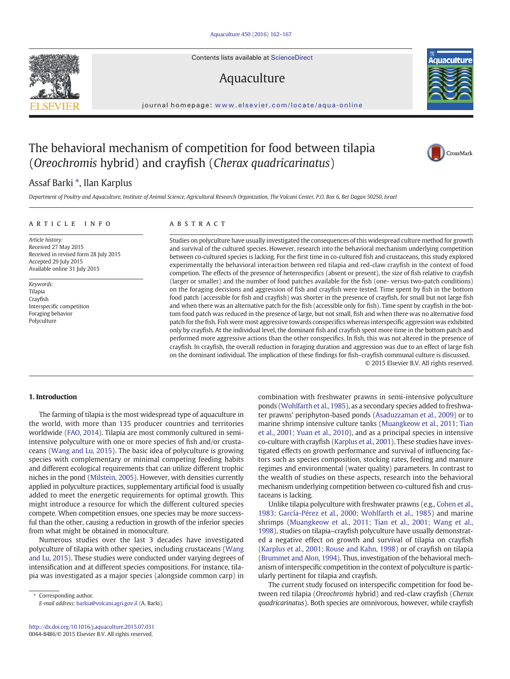Contents lists available at ScienceDirect

# Aquaculture

journal homepage: [www.elsevier.com/locate/aqua-online](www.elsevier.com/locate/aquanline)

## The behavioral mechanism of competition for food between tilapia (Oreochromis hybrid) and crayfish (Cherax quadricarinatus)

### Assaf Barki ⁎, Ilan Karplus

Department of Poultry and Aquaculture, Institute of Animal Science, Agricultural Research Organization, The Volcani Center, P.O. Box 6, Bet Dagan 50250, Israel

#### article info abstract

Article history: Received 27 May 2015 Received in revised form 28 July 2015 Accepted 29 July 2015 Available online 31 July 2015

Keywords: Tilapia Crayfish Interspecific competition Foraging behavior Polyculture

Studies on polyculture have usually investigated the consequences of this widespread culture method for growth and survival of the cultured species. However, research into the behavioral mechanism underlying competition between co-cultured species is lacking. For the first time in co-cultured fish and crustaceans, this study explored experimentally the behavioral interaction between red tilapia and red-claw crayfish in the context of food competion. The effects of the presence of heterospecifics (absent or present), the size of fish relative to crayfish (larger or smaller) and the number of food patches available for the fish (one- versus two-patch conditions) on the foraging decisions and aggression of fish and crayfish were tested. Time spent by fish in the bottom food patch (accessible for fish and crayfish) was shorter in the presence of crayfish, for small but not large fish and when there was an alternative patch for the fish (accessible only for fish). Time spent by crayfish in the bottom food patch was reduced in the presence of large, but not small, fish and when there was no alternative food patch for the fish. Fish were most aggressive towards conspecifics whereas interspecific aggression was exhibited only by crayfish. At the individual level, the dominant fish and crayfish spent more time in the bottom patch and performed more aggressive actions than the other conspecifics. In fish, this was not altered in the presence of crayfish. In crayfish, the overall reduction in foraging duration and aggression was due to an effect of large fish on the dominant individual. The implication of these findings for fish–crayfish communal culture is discussed.

© 2015 Elsevier B.V. All rights reserved.

### 1. Introduction

The farming of tilapia is the most widespread type of aquaculture in the world, with more than 135 producer countries and territories worldwide ([FAO, 2014](#page-5-0)). Tilapia are most commonly cultured in semiintensive polyculture with one or more species of fish and/or crustaceans ([Wang and Lu, 2015\)](#page-5-0). The basic idea of polyculture is growing species with complementary or minimal competing feeding habits and different ecological requirements that can utilize different trophic niches in the pond ([Milstein, 2005](#page-5-0)). However, with densities currently applied in polyculture practices, supplementary artificial food is usually added to meet the energetic requirements for optimal growth. This might introduce a resource for which the different cultured species compete. When competition ensues, one species may be more successful than the other, causing a reduction in growth of the inferior species from what might be obtained in monoculture.

Numerous studies over the last 3 decades have investigated polyculture of tilapia with other species, including crustaceans ([Wang](#page-5-0) [and Lu, 2015](#page-5-0)). These studies were conducted under varying degrees of intensification and at different species compositions. For instance, tilapia was investigated as a major species (alongside common carp) in

Corresponding author. E-mail address: [barkia@volcani.agri.gov.il](mailto:barkia@volcani.agri.gov.il) (A. Barki). the wealth of studies on these aspects, research into the behavioral mechanism underlying competition between co-cultured fish and crustaceans is lacking. Unlike tilapia polyculture with freshwater prawns (e.g., [Cohen et al.,](#page-5-0) [1983; García-Pérez et al., 2000; Wohlfarth et al., 1985\)](#page-5-0) and marine shrimps ([Muangkeow et al., 2011; Tian et al., 2001; Wang et al.,](#page-5-0) [1998\)](#page-5-0), studies on tilapia–crayfish polyculture have usually demonstrated a negative effect on growth and survival of tilapia on crayfish [\(Karplus et al., 2001; Rouse and Kahn, 1998](#page-5-0)) or of crayfish on tilapia [\(Brummet and Alon, 1994\)](#page-5-0). Thus, investigation of the behavioral mechanism of interspecific competition in the context of polyculture is particularly pertinent for tilapia and crayfish.

combination with freshwater prawns in semi-intensive polyculture ponds [\(Wohlfarth et al., 1985\)](#page-5-0), as a secondary species added to freshwater prawns' periphyton-based ponds ([Asaduzzaman et al., 2009\)](#page-4-0) or to marine shrimp intensive culture tanks ([Muangkeow et al., 2011; Tian](#page-5-0) [et al., 2001; Yuan et al., 2010](#page-5-0)), and as a principal species in intensive co-culture with crayfish ([Karplus et al., 2001\)](#page-5-0). These studies have investigated effects on growth performance and survival of influencing factors such as species composition, stocking rates, feeding and manure regimes and environmental (water quality) parameters. In contrast to

The current study focused on interspecific competition for food between red tilapia (Oreochromis hybrid) and red-claw crayfish (Cherax quadricarinatus). Both species are omnivorous, however, while crayfish





**Aguaculture** 

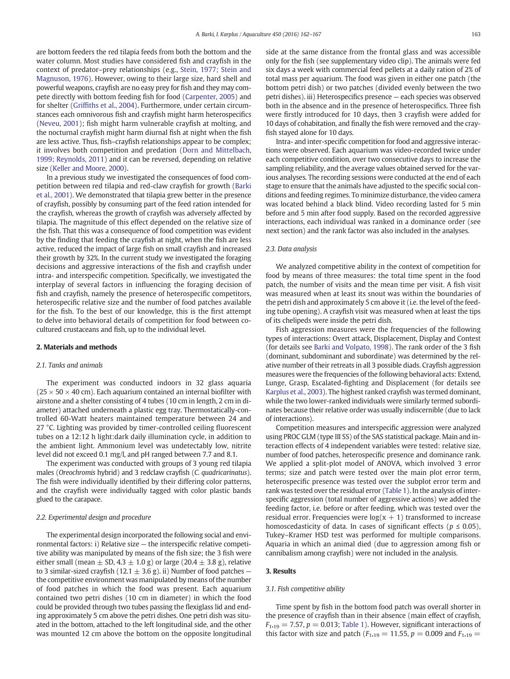are bottom feeders the red tilapia feeds from both the bottom and the water column. Most studies have considered fish and crayfish in the context of predator–prey relationships (e.g., [Stein, 1977; Stein and](#page-5-0) [Magnuson, 1976](#page-5-0)). However, owing to their large size, hard shell and powerful weapons, crayfish are no easy prey for fish and they may compete directly with bottom feeding fish for food ([Carpenter, 2005](#page-5-0)) and for shelter (Griffi[ths et al., 2004\)](#page-5-0). Furthermore, under certain circumstances each omnivorous fish and crayfish might harm heterospecifics [\(Neveu, 2001](#page-5-0)); fish might harm vulnerable crayfish at molting, and the nocturnal crayfish might harm diurnal fish at night when the fish are less active. Thus, fish–crayfish relationships appear to be complex; it involves both competition and predation [\(Dorn and Mittelbach,](#page-5-0) [1999; Reynolds, 2011\)](#page-5-0) and it can be reversed, depending on relative size ([Keller and Moore, 2000\)](#page-5-0).

In a previous study we investigated the consequences of food competition between red tilapia and red-claw crayfish for growth ([Barki](#page-5-0) [et al., 2001](#page-5-0)). We demonstrated that tilapia grew better in the presence of crayfish, possibly by consuming part of the feed ration intended for the crayfish, whereas the growth of crayfish was adversely affected by tilapia. The magnitude of this effect depended on the relative size of the fish. That this was a consequence of food competition was evident by the finding that feeding the crayfish at night, when the fish are less active, reduced the impact of large fish on small crayfish and increased their growth by 32%. In the current study we investigated the foraging decisions and aggressive interactions of the fish and crayfish under intra- and interspecific competition. Specifically, we investigated the interplay of several factors in influencing the foraging decision of fish and crayfish, namely the presence of heterospecific competitors, heterospecific relative size and the number of food patches available for the fish. To the best of our knowledge, this is the first attempt to delve into behavioral details of competition for food between cocultured crustaceans and fish, up to the individual level.

#### 2. Materials and methods

#### 2.1. Tanks and animals

The experiment was conducted indoors in 32 glass aquaria  $(25 \times 50 \times 40$  cm). Each aquarium contained an internal biofilter with airstone and a shelter consisting of 4 tubes (10 cm in length, 2 cm in diameter) attached underneath a plastic egg tray. Thermostatically-controlled 60-Watt heaters maintained temperature between 24 and 27 °C. Lighting was provided by timer-controlled ceiling fluorescent tubes on a 12:12 h light:dark daily illumination cycle, in addition to the ambient light. Ammonium level was undetectably low, nitrite level did not exceed 0.1 mg/l, and pH ranged between 7.7 and 8.1.

The experiment was conducted with groups of 3 young red tilapia males (Oreochromis hybrid) and 3 redclaw crayfish (C. quadricarinatus). The fish were individually identified by their differing color patterns, and the crayfish were individually tagged with color plastic bands glued to the carapace.

#### 2.2. Experimental design and procedure

The experimental design incorporated the following social and environmental factors: i) Relative size — the interspecific relative competitive ability was manipulated by means of the fish size; the 3 fish were either small (mean  $\pm$  SD, 4.3  $\pm$  1.0 g) or large (20.4  $\pm$  3.8 g), relative to 3 similar-sized crayfish (12.1  $\pm$  3.6 g). ii) Number of food patches – the competitive environment was manipulated by means of the number of food patches in which the food was present. Each aquarium contained two petri dishes (10 cm in diameter) in which the food could be provided through two tubes passing the flexiglass lid and ending approximately 5 cm above the petri dishes. One petri dish was situated in the bottom, attached to the left longitudinal side, and the other was mounted 12 cm above the bottom on the opposite longitudinal side at the same distance from the frontal glass and was accessible only for the fish (see supplementary video clip). The animals were fed six days a week with commercial feed pellets at a daily ration of 2% of total mass per aquarium. The food was given in either one patch (the bottom petri dish) or two patches (divided evenly between the two petri dishes). iii) Heterospecifics presence — each species was observed both in the absence and in the presence of heterospecifics. Three fish were firstly introduced for 10 days, then 3 crayfish were added for 10 days of cohabitation, and finally the fish were removed and the crayfish stayed alone for 10 days.

Intra- and inter-specific competition for food and aggressive interactions were observed. Each aquarium was video-recorded twice under each competitive condition, over two consecutive days to increase the sampling reliability, and the average values obtained served for the various analyses. The recording sessions were conducted at the end of each stage to ensure that the animals have adjusted to the specific social conditions and feeding regimes. To minimize disturbance, the video camera was located behind a black blind. Video recording lasted for 5 min before and 5 min after food supply. Based on the recorded aggressive interactions, each individual was ranked in a dominance order (see next section) and the rank factor was also included in the analyses.

#### 2.3. Data analysis

We analyzed competitive ability in the context of competition for food by means of three measures: the total time spent in the food patch, the number of visits and the mean time per visit. A fish visit was measured when at least its snout was within the boundaries of the petri dish and approximately 5 cm above it (i.e. the level of the feeding tube opening). A crayfish visit was measured when at least the tips of its chelipeds were inside the petri dish.

Fish aggression measures were the frequencies of the following types of interactions: Overt attack, Displacement, Display and Contest (for details see [Barki and Volpato, 1998](#page-4-0)). The rank order of the 3 fish (dominant, subdominant and subordinate) was determined by the relative number of their retreats in all 3 possible diads. Crayfish aggression measures were the frequencies of the following behavioral acts: Extend, Lunge, Grasp, Escalated-fighting and Displacement (for details see [Karplus et al., 2003\)](#page-5-0). The highest ranked crayfish was termed dominant, while the two lower-ranked individuals were similarly termed subordinates because their relative order was usually indiscernible (due to lack of interactions).

Competition measures and interspecific aggression were analyzed using PROC GLM (type III SS) of the SAS statistical package. Main and interaction effects of 4 independent variables were tested: relative size, number of food patches, heterospecific presence and dominance rank. We applied a split-plot model of ANOVA, which involved 3 error terms; size and patch were tested over the main plot error term, heterospecific presence was tested over the subplot error term and rank was tested over the residual error [\(Table 1](#page-2-0)). In the analysis of interspecific aggression (total number of aggressive actions) we added the feeding factor, i.e. before or after feeding, which was tested over the residual error. Frequencies were  $log(x + 1)$  transformed to increase homoscedasticity of data. In cases of significant effects ( $p \leq 0.05$ ), Tukey–Kramer HSD test was performed for multiple comparisons. Aquaria in which an animal died (due to aggression among fish or cannibalism among crayfish) were not included in the analysis.

### 3. Results

#### 3.1. Fish competitive ability

Time spent by fish in the bottom food patch was overall shorter in the presence of crayfish than in their absence (main effect of crayfish,  $F_{1,19} = 7.57$ ,  $p = 0.013$ ; [Table 1\)](#page-2-0). However, significant interactions of this factor with size and patch ( $F_{1,19} = 11.55$ ,  $p = 0.009$  and  $F_{1,19} =$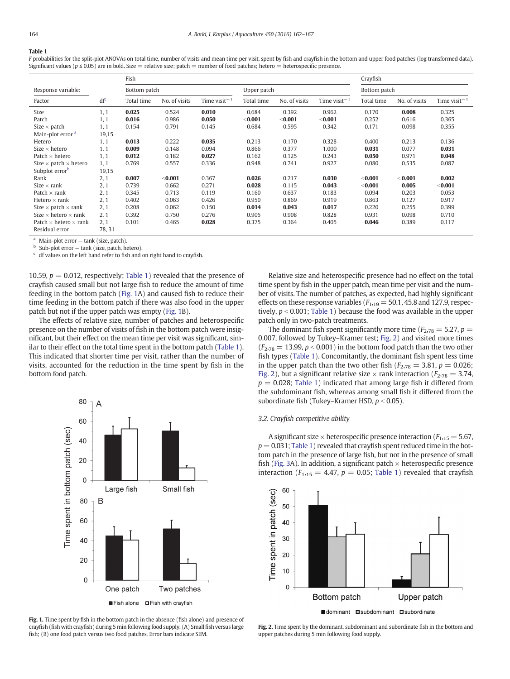#### <span id="page-2-0"></span>Table 1

F probabilities for the split-plot ANOVAs on total time, number of visits and mean time per visit, spent by fish and crayfish in the bottom and upper food patches (log transformed data). Significant values ( $p \le 0.05$ ) are in bold. Size = relative size; patch = number of food patches; hetero = heterospecific presence.

|                                     |        | Fish         |               |                    |             |               |                    | Crayfish     |               |                    |
|-------------------------------------|--------|--------------|---------------|--------------------|-------------|---------------|--------------------|--------------|---------------|--------------------|
| Response variable:                  |        | Bottom patch |               |                    | Upper patch |               |                    | Bottom patch |               |                    |
| Factor                              | df     | Total time   | No. of visits | Time visit $^{-1}$ | Total time  | No. of visits | Time visit $^{-1}$ | Total time   | No. of visits | Time visit $^{-1}$ |
| Size                                | 1, 1   | 0.025        | 0.524         | 0.010              | 0.684       | 0.392         | 0.962              | 0.170        | 0.008         | 0.325              |
| Patch                               | 1, 1   | 0.016        | 0.986         | 0.050              | < 0.001     | < 0.001       | < 0.001            | 0.252        | 0.616         | 0.365              |
| Size $\times$ patch                 | 1, 1   | 0.154        | 0.791         | 0.145              | 0.684       | 0.595         | 0.342              | 0.171        | 0.098         | 0.355              |
| Main-plot error <sup>a</sup>        | 19,15  |              |               |                    |             |               |                    |              |               |                    |
| Hetero                              | 1, 1   | 0.013        | 0.222         | 0.035              | 0.213       | 0.170         | 0.328              | 0.400        | 0.213         | 0.136              |
| Size $\times$ hetero                | 1, 1   | 0.009        | 0.148         | 0.094              | 0.866       | 0.377         | 1.000              | 0.031        | 0.077         | 0.031              |
| Patch $\times$ hetero               | 1, 1   | 0.012        | 0.182         | 0.027              | 0.162       | 0.125         | 0.243              | 0.050        | 0.971         | 0.048              |
| Size $\times$ patch $\times$ hetero | 1.1    | 0.769        | 0.557         | 0.336              | 0.948       | 0.741         | 0.927              | 0.080        | 0.535         | 0.087              |
| Subplot errorb                      | 19,15  |              |               |                    |             |               |                    |              |               |                    |
| Rank                                | 2.1    | 0.007        | < 0.001       | 0.367              | 0.026       | 0.217         | 0.030              | < 0.001      | < 0.001       | 0.002              |
| Size $\times$ rank                  | 2,1    | 0.739        | 0.662         | 0.271              | 0.028       | 0.115         | 0.043              | < 0.001      | 0.005         | < 0.001            |
| Patch $\times$ rank                 | 2,1    | 0.345        | 0.713         | 0.119              | 0.160       | 0.637         | 0.183              | 0.094        | 0.203         | 0.053              |
| Hetero $\times$ rank                | 2,1    | 0.402        | 0.063         | 0.426              | 0.950       | 0.869         | 0.919              | 0.863        | 0.127         | 0.917              |
| Size $\times$ patch $\times$ rank   | 2, 1   | 0.208        | 0.062         | 0.150              | 0.014       | 0.043         | 0.017              | 0.220        | 0.255         | 0.399              |
| Size $\times$ hetero $\times$ rank  | 2.1    | 0.392        | 0.750         | 0.276              | 0.905       | 0.908         | 0.828              | 0.931        | 0.098         | 0.710              |
| Patch $\times$ hetero $\times$ rank | 2.1    | 0.101        | 0.465         | 0.028              | 0.375       | 0.364         | 0.405              | 0.046        | 0.389         | 0.117              |
| Residual error                      | 78, 31 |              |               |                    |             |               |                    |              |               |                    |

 $a$  Main-plot error  $-$  tank (size, patch).

Sub-plot error - tank (size, patch, hetero).

 $c$  df values on the left hand refer to fish and on right hand to crayfish.

10.59,  $p = 0.012$ , respectively; Table 1) revealed that the presence of crayfish caused small but not large fish to reduce the amount of time feeding in the bottom patch (Fig. 1A) and caused fish to reduce their time feeding in the bottom patch if there was also food in the upper patch but not if the upper patch was empty (Fig. 1B).

The effects of relative size, number of patches and heterospecific presence on the number of visits of fish in the bottom patch were insignificant, but their effect on the mean time per visit was significant, similar to their effect on the total time spent in the bottom patch (Table 1). This indicated that shorter time per visit, rather than the number of visits, accounted for the reduction in the time spent by fish in the bottom food patch.



Fig. 1. Time spent by fish in the bottom patch in the absence (fish alone) and presence of crayfish (fish with crayfish) during 5 min following food supply. (A) Small fish versus large fish; (B) one food patch versus two food patches. Error bars indicate SEM.

Relative size and heterospecific presence had no effect on the total time spent by fish in the upper patch, mean time per visit and the number of visits. The number of patches, as expected, had highly significant effects on these response variables ( $F_{1,19} = 50.1, 45.8$  and 127.9, respectively,  $p < 0.001$ ; Table 1) because the food was available in the upper patch only in two-patch treatments.

The dominant fish spent significantly more time ( $F_{2,78} = 5.27$ ,  $p =$ 0.007, followed by Tukey–Kramer test; Fig. 2) and visited more times  $(F_{2,78} = 13.99, p < 0.001)$  in the bottom food patch than the two other fish types (Table 1). Concomitantly, the dominant fish spent less time in the upper patch than the two other fish  $(F_{2,78} = 3.81, p = 0.026;$ Fig. 2), but a significant relative size  $\times$  rank interaction ( $F_{2,78} = 3.74$ ,  $p = 0.028$ ; Table 1) indicated that among large fish it differed from the subdominant fish, whereas among small fish it differed from the subordinate fish (Tukey–Kramer HSD,  $p < 0.05$ ).

### 3.2. Crayfish competitive ability

A significant size  $\times$  heterospecific presence interaction ( $F_{1,15} = 5.67$ ,  $p = 0.031$ ; Table 1) revealed that crayfish spent reduced time in the bottom patch in the presence of large fish, but not in the presence of small fish [\(Fig. 3](#page-3-0)A). In addition, a significant patch  $\times$  heterospecific presence interaction ( $F_{1,15} = 4.47$ ,  $p = 0.05$ ; Table 1) revealed that crayfish



Fig. 2. Time spent by the dominant, subdominant and subordinate fish in the bottom and upper patches during 5 min following food supply.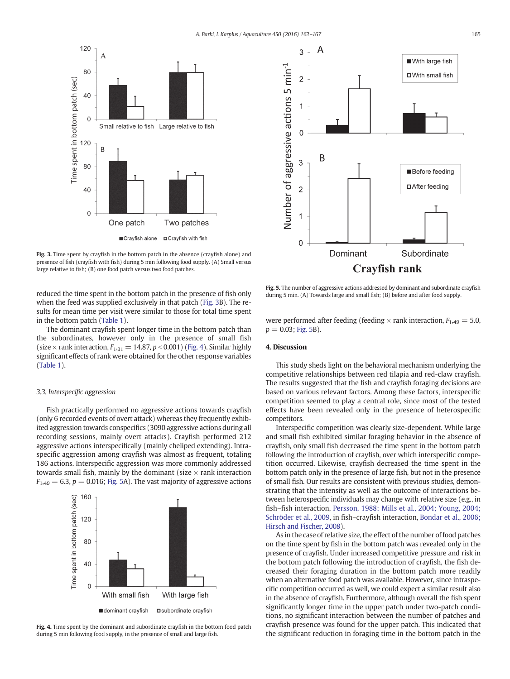<span id="page-3-0"></span>

Fig. 3. Time spent by crayfish in the bottom patch in the absence (crayfish alone) and presence of fish (crayfish with fish) during 5 min following food supply. (A) Small versus large relative to fish; (B) one food patch versus two food patches.

reduced the time spent in the bottom patch in the presence of fish only when the feed was supplied exclusively in that patch (Fig. 3B). The results for mean time per visit were similar to those for total time spent in the bottom patch ([Table 1](#page-2-0)).

The dominant crayfish spent longer time in the bottom patch than the subordinates, however only in the presence of small fish (size  $\times$  rank interaction,  $F_{1,31} = 14.87$ ,  $p < 0.001$ ) (Fig. 4). Similar highly significant effects of rank were obtained for the other response variables [\(Table 1\)](#page-2-0).

#### 3.3. Interspecific aggression

Fish practically performed no aggressive actions towards crayfish (only 6 recorded events of overt attack) whereas they frequently exhibited aggression towards conspecifics (3090 aggressive actions during all recording sessions, mainly overt attacks). Crayfish performed 212 aggressive actions interspecifically (mainly cheliped extending). Intraspecific aggression among crayfish was almost as frequent, totaling 186 actions. Interspecific aggression was more commonly addressed towards small fish, mainly by the dominant (size  $\times$  rank interaction  $F_{1,49} = 6.3, p = 0.016$ ; Fig. 5A). The vast majority of aggressive actions



Fig. 4. Time spent by the dominant and subordinate crayfish in the bottom food patch during 5 min following food supply, in the presence of small and large fish.



Fig. 5. The number of aggressive actions addressed by dominant and subordinate crayfish during 5 min. (A) Towards large and small fish; (B) before and after food supply.

were performed after feeding (feeding  $\times$  rank interaction,  $F_{1,49} = 5.0$ ,  $p = 0.03$ ; Fig. 5B).

#### 4. Discussion

This study sheds light on the behavioral mechanism underlying the competitive relationships between red tilapia and red-claw crayfish. The results suggested that the fish and crayfish foraging decisions are based on various relevant factors. Among these factors, interspecific competition seemed to play a central role, since most of the tested effects have been revealed only in the presence of heterospecific competitors.

Interspecific competition was clearly size-dependent. While large and small fish exhibited similar foraging behavior in the absence of crayfish, only small fish decreased the time spent in the bottom patch following the introduction of crayfish, over which interspecific competition occurred. Likewise, crayfish decreased the time spent in the bottom patch only in the presence of large fish, but not in the presence of small fish. Our results are consistent with previous studies, demonstrating that the intensity as well as the outcome of interactions between heterospecific individuals may change with relative size (e.g., in fish–fish interaction, [Persson, 1988; Mills et al., 2004; Young, 2004;](#page-5-0) [Schröder et al., 2009](#page-5-0), in fish–crayfish interaction, [Bondar et al., 2006;](#page-5-0) [Hirsch and Fischer, 2008\)](#page-5-0).

As in the case of relative size, the effect of the number of food patches on the time spent by fish in the bottom patch was revealed only in the presence of crayfish. Under increased competitive pressure and risk in the bottom patch following the introduction of crayfish, the fish decreased their foraging duration in the bottom patch more readily when an alternative food patch was available. However, since intraspecific competition occurred as well, we could expect a similar result also in the absence of crayfish. Furthermore, although overall the fish spent significantly longer time in the upper patch under two-patch conditions, no significant interaction between the number of patches and crayfish presence was found for the upper patch. This indicated that the significant reduction in foraging time in the bottom patch in the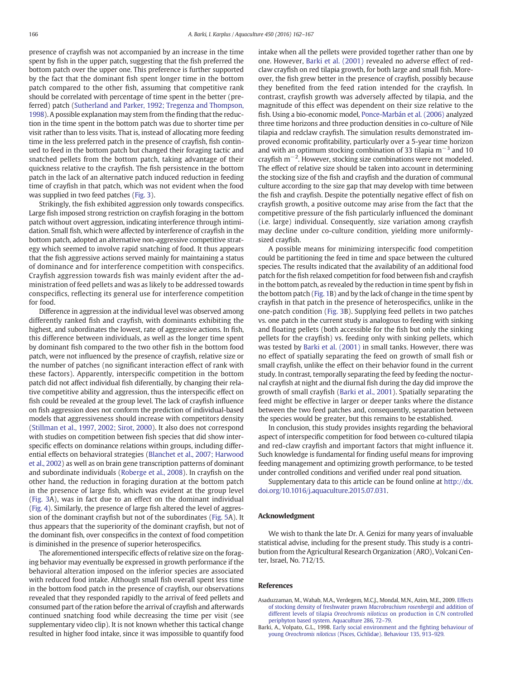<span id="page-4-0"></span>presence of crayfish was not accompanied by an increase in the time spent by fish in the upper patch, suggesting that the fish preferred the bottom patch over the upper one. This preference is further supported by the fact that the dominant fish spent longer time in the bottom patch compared to the other fish, assuming that competitive rank should be correlated with percentage of time spent in the better (preferred) patch ([Sutherland and Parker, 1992; Tregenza and Thompson,](#page-5-0) [1998\)](#page-5-0). A possible explanation may stem from the finding that the reduction in the time spent in the bottom patch was due to shorter time per visit rather than to less visits. That is, instead of allocating more feeding time in the less preferred patch in the presence of crayfish, fish continued to feed in the bottom patch but changed their foraging tactic and snatched pellets from the bottom patch, taking advantage of their quickness relative to the crayfish. The fish persistence in the bottom patch in the lack of an alternative patch induced reduction in feeding time of crayfish in that patch, which was not evident when the food was supplied in two feed patches [\(Fig. 3](#page-3-0)).

Strikingly, the fish exhibited aggression only towards conspecifics. Large fish imposed strong restriction on crayfish foraging in the bottom patch without overt aggression, indicating interference through intimidation. Small fish, which were affected by interference of crayfish in the bottom patch, adopted an alternative non-aggressive competitive strategy which seemed to involve rapid snatching of food. It thus appears that the fish aggressive actions served mainly for maintaining a status of dominance and for interference competition with conspecifics. Crayfish aggression towards fish was mainly evident after the administration of feed pellets and was as likely to be addressed towards conspecifics, reflecting its general use for interference competition for food.

Difference in aggression at the individual level was observed among differently ranked fish and crayfish, with dominants exhibiting the highest, and subordinates the lowest, rate of aggressive actions. In fish, this difference between individuals, as well as the longer time spent by dominant fish compared to the two other fish in the bottom food patch, were not influenced by the presence of crayfish, relative size or the number of patches (no significant interaction effect of rank with these factors). Apparently, interspecific competition in the bottom patch did not affect individual fish diferentially, by changing their relative competitive ability and aggression, thus the interspecific effect on fish could be revealed at the group level. The lack of crayfish influence on fish aggression does not conform the prediction of individual-based models that aggressiveness should increase with competitors density [\(Stillman et al., 1997, 2002; Sirot, 2000\)](#page-5-0). It also does not correspond with studies on competition between fish species that did show interspecific effects on dominance relations within groups, including differential effects on behavioral strategies ([Blanchet et al., 2007; Harwood](#page-5-0) [et al., 2002\)](#page-5-0) as well as on brain gene transcription patterns of dominant and subordinate individuals [\(Roberge et al., 2008](#page-5-0)). In crayfish on the other hand, the reduction in foraging duration at the bottom patch in the presence of large fish, which was evident at the group level [\(Fig. 3A](#page-3-0)), was in fact due to an effect on the dominant individual [\(Fig. 4\)](#page-3-0). Similarly, the presence of large fish altered the level of aggression of the dominant crayfish but not of the subordinates ([Fig. 5A](#page-3-0)). It thus appears that the superiority of the dominant crayfish, but not of the dominant fish, over conspecifics in the context of food competition is diminished in the presence of superior heterospecifics.

The aforementioned interspecific effects of relative size on the foraging behavior may eventually be expressed in growth performance if the behavioral alteration imposed on the inferior species are associated with reduced food intake. Although small fish overall spent less time in the bottom food patch in the presence of crayfish, our observations revealed that they responded rapidly to the arrival of feed pellets and consumed part of the ration before the arrival of crayfish and afterwards continued snatching food while decreasing the time per visit (see supplementary video clip). It is not known whether this tactical change resulted in higher food intake, since it was impossible to quantify food intake when all the pellets were provided together rather than one by one. However, [Barki et al. \(2001\)](#page-5-0) revealed no adverse effect of redclaw crayfish on red tilapia growth, for both large and small fish. Moreover, the fish grew better in the presence of crayfish, possibly because they benefited from the feed ration intended for the crayfish. In contrast, crayfish growth was adversely affected by tilapia, and the magnitude of this effect was dependent on their size relative to the fish. Using a bio-economic model, [Ponce-Marbán et al. \(2006\)](#page-5-0) analyzed three time horizons and three production densities in co-culture of Nile tilapia and redclaw crayfish. The simulation results demonstrated improved economic profitability, particularly over a 5-year time horizon and with an optimum stocking combination of 33 tilapia m<sup>-3</sup> and 10 crayfish m−<sup>2</sup> . However, stocking size combinations were not modeled. The effect of relative size should be taken into account in determining the stocking size of the fish and crayfish and the duration of communal culture according to the size gap that may develop with time between the fish and crayfish. Despite the potentially negative effect of fish on crayfish growth, a positive outcome may arise from the fact that the competitive pressure of the fish particularly influenced the dominant (i.e. large) individual. Consequently, size variation among crayfish may decline under co-culture condition, yielding more uniformlysized crayfish.

A possible means for minimizing interspecific food competition could be partitioning the feed in time and space between the cultured species. The results indicated that the availability of an additional food patch for the fish relaxed competition for food between fish and crayfish in the bottom patch, as revealed by the reduction in time spent by fish in the bottom patch [\(Fig. 1](#page-2-0)B) and by the lack of change in the time spent by crayfish in that patch in the presence of heterospecifics, unlike in the one-patch condition [\(Fig. 3B](#page-3-0)). Supplying feed pellets in two patches vs. one patch in the current study is analogous to feeding with sinking and floating pellets (both accessible for the fish but only the sinking pellets for the crayfish) vs. feeding only with sinking pellets, which was tested by [Barki et al. \(2001\)](#page-5-0) in small tanks. However, there was no effect of spatially separating the feed on growth of small fish or small crayfish, unlike the effect on their behavior found in the current study. In contrast, temporally separating the feed by feeding the nocturnal crayfish at night and the diurnal fish during the day did improve the growth of small crayfish ([Barki et al., 2001](#page-5-0)). Spatially separating the feed might be effective in larger or deeper tanks where the distance between the two feed patches and, consequently, separation between the species would be greater, but this remains to be established.

In conclusion, this study provides insights regarding the behavioral aspect of interspecific competition for food between co-cultured tilapia and red-claw crayfish and important factors that might influence it. Such knowledge is fundamental for finding useful means for improving feeding management and optimizing growth performance, to be tested under controlled conditions and verified under real pond situation.

Supplementary data to this article can be found online at [http://dx.](http://dx.doi.org/10.1016/j.aquaculture.2015.07.031) [doi.org/10.1016/j.aquaculture.2015.07.031.](http://dx.doi.org/10.1016/j.aquaculture.2015.07.031)

#### Acknowledgment

We wish to thank the late Dr. A. Genizi for many years of invaluable statistical advise, including for the present study. This study is a contribution from the Agricultural Research Organization (ARO), Volcani Center, Israel, No. 712/15.

#### References

- Asaduzzaman, M., Wahab, M.A., Verdegem, M.C.J., Mondal, M.N., Azim, M.E., 2009. [Effects](http://refhub.elsevier.com/S0044-8486(15)30113-7/rf0005) [of stocking density of freshwater prawn](http://refhub.elsevier.com/S0044-8486(15)30113-7/rf0005) Macrobrachium rosenbergii and addition of different levels of tilapia Oreochromis niloticus [on production in C/N controlled](http://refhub.elsevier.com/S0044-8486(15)30113-7/rf0005) [periphyton based system. Aquaculture 286, 72](http://refhub.elsevier.com/S0044-8486(15)30113-7/rf0005)–79.
- Barki, A., Volpato, G.L., 1998. [Early social environment and the](http://refhub.elsevier.com/S0044-8486(15)30113-7/rf0015) fighting behaviour of young Oreochromis niloticus [\(Pisces, Cichlidae\). Behaviour 135, 913](http://refhub.elsevier.com/S0044-8486(15)30113-7/rf0015)–929.